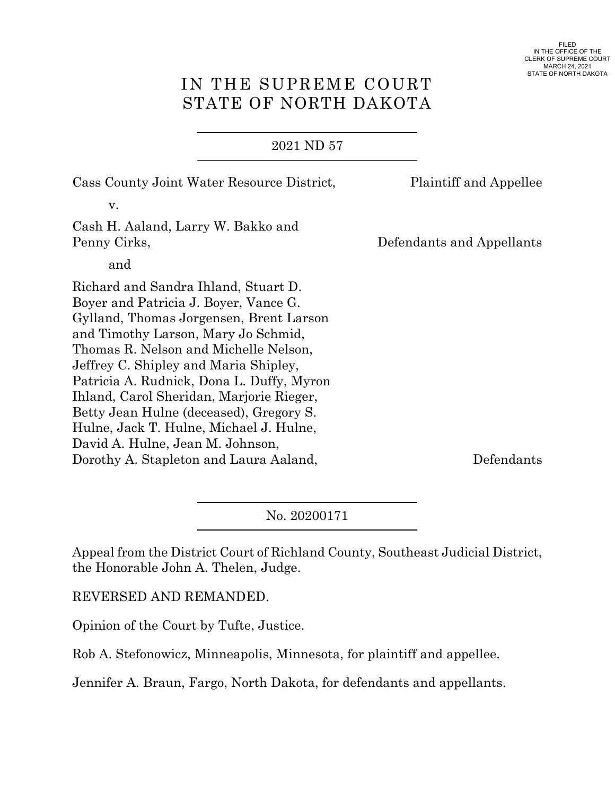# IN THE SUPREME COURT STATE OF NORTH DAKOTA

## 2021 ND 57

| Cass County Joint Water Resource District,                                                                                                                                                                                                                                                                                                                                                                                                                                                                     | <b>Plaintiff and Appellee</b> |
|----------------------------------------------------------------------------------------------------------------------------------------------------------------------------------------------------------------------------------------------------------------------------------------------------------------------------------------------------------------------------------------------------------------------------------------------------------------------------------------------------------------|-------------------------------|
| V.                                                                                                                                                                                                                                                                                                                                                                                                                                                                                                             |                               |
| Cash H. Aaland, Larry W. Bakko and<br>Penny Cirks,                                                                                                                                                                                                                                                                                                                                                                                                                                                             | Defendants and Appellants     |
| and                                                                                                                                                                                                                                                                                                                                                                                                                                                                                                            |                               |
| Richard and Sandra Ihland, Stuart D.<br>Boyer and Patricia J. Boyer, Vance G.<br>Gylland, Thomas Jorgensen, Brent Larson<br>and Timothy Larson, Mary Jo Schmid,<br>Thomas R. Nelson and Michelle Nelson,<br>Jeffrey C. Shipley and Maria Shipley,<br>Patricia A. Rudnick, Dona L. Duffy, Myron<br>Ihland, Carol Sheridan, Marjorie Rieger,<br>Betty Jean Hulne (deceased), Gregory S.<br>Hulne, Jack T. Hulne, Michael J. Hulne,<br>David A. Hulne, Jean M. Johnson,<br>Dorothy A. Stapleton and Laura Aaland, | Defendants                    |

No. 20200171

Appeal from the District Court of Richland County, Southeast Judicial District, the Honorable John A. Thelen, Judge.

REVERSED AND REMANDED.

Opinion of the Court by Tufte, Justice.

Rob A. Stefonowicz, Minneapolis, Minnesota, for plaintiff and appellee.

Jennifer A. Braun, Fargo, North Dakota, for defendants and appellants.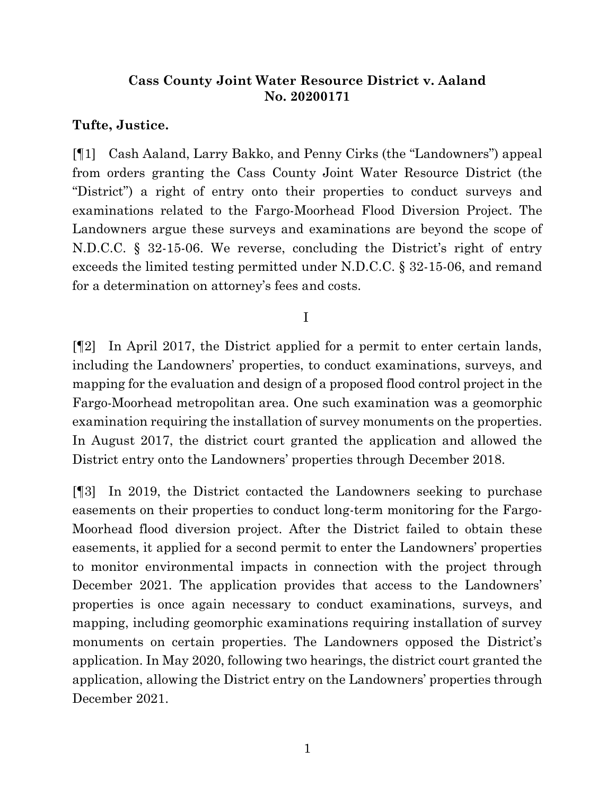# **Cass County Joint Water Resource District v. Aaland No. 20200171**

## **Tufte, Justice.**

[¶1] Cash Aaland, Larry Bakko, and Penny Cirks (the "Landowners") appeal from orders granting the Cass County Joint Water Resource District (the "District") a right of entry onto their properties to conduct surveys and examinations related to the Fargo-Moorhead Flood Diversion Project. The Landowners argue these surveys and examinations are beyond the scope of N.D.C.C. § 32-15-06. We reverse, concluding the District's right of entry exceeds the limited testing permitted under N.D.C.C. § 32-15-06, and remand for a determination on attorney's fees and costs.

I

[¶2] In April 2017, the District applied for a permit to enter certain lands, including the Landowners' properties, to conduct examinations, surveys, and mapping for the evaluation and design of a proposed flood control project in the Fargo-Moorhead metropolitan area. One such examination was a geomorphic examination requiring the installation of survey monuments on the properties. In August 2017, the district court granted the application and allowed the District entry onto the Landowners' properties through December 2018.

[¶3] In 2019, the District contacted the Landowners seeking to purchase easements on their properties to conduct long-term monitoring for the Fargo-Moorhead flood diversion project. After the District failed to obtain these easements, it applied for a second permit to enter the Landowners' properties to monitor environmental impacts in connection with the project through December 2021. The application provides that access to the Landowners' properties is once again necessary to conduct examinations, surveys, and mapping, including geomorphic examinations requiring installation of survey monuments on certain properties. The Landowners opposed the District's application. In May 2020, following two hearings, the district court granted the application, allowing the District entry on the Landowners' properties through December 2021.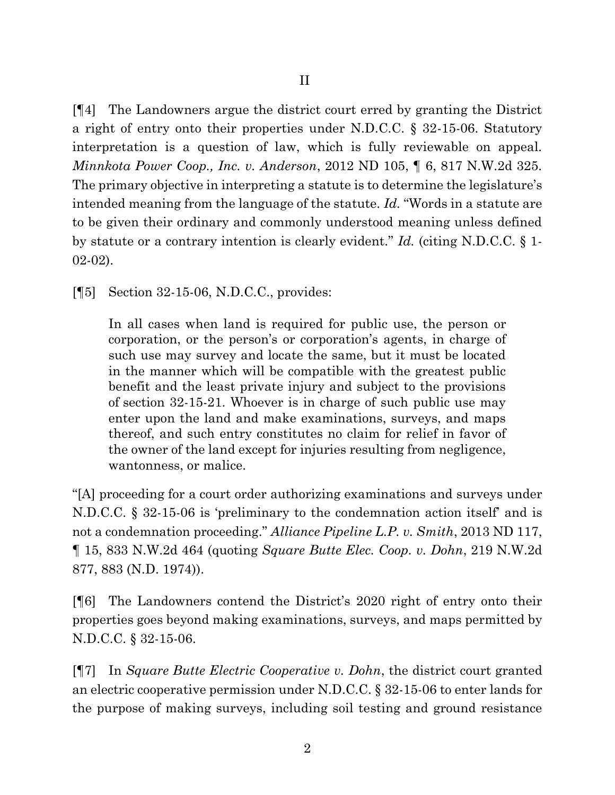[¶4] The Landowners argue the district court erred by granting the District a right of entry onto their properties under N.D.C.C. § 32-15-06. Statutory interpretation is a question of law, which is fully reviewable on appeal. *Minnkota Power Coop., Inc. v. Anderson*, 2012 ND 105, ¶ 6, 817 N.W.2d 325. The primary objective in interpreting a statute is to determine the legislature's intended meaning from the language of the statute. *Id.* "Words in a statute are to be given their ordinary and commonly understood meaning unless defined by statute or a contrary intention is clearly evident." *Id.* (citing N.D.C.C. § 1- 02-02).

[¶5] Section 32-15-06, N.D.C.C., provides:

In all cases when land is required for public use, the person or corporation, or the person's or corporation's agents, in charge of such use may survey and locate the same, but it must be located in the manner which will be compatible with the greatest public benefit and the least private injury and subject to the provisions of section 32-15-21. Whoever is in charge of such public use may enter upon the land and make examinations, surveys, and maps thereof, and such entry constitutes no claim for relief in favor of the owner of the land except for injuries resulting from negligence, wantonness, or malice.

"[A] proceeding for a court order authorizing examinations and surveys under N.D.C.C. § 32-15-06 is 'preliminary to the condemnation action itself' and is not a condemnation proceeding." *Alliance Pipeline L.P. v. Smith*, 2013 ND 117, ¶ 15, 833 N.W.2d 464 (quoting *Square Butte Elec. Coop. v. Dohn*, 219 N.W.2d 877, 883 (N.D. 1974)).

[¶6] The Landowners contend the District's 2020 right of entry onto their properties goes beyond making examinations, surveys, and maps permitted by N.D.C.C. § 32-15-06.

[¶7] In *Square Butte Electric Cooperative v. Dohn*, the district court granted an electric cooperative permission under N.D.C.C. § 32-15-06 to enter lands for the purpose of making surveys, including soil testing and ground resistance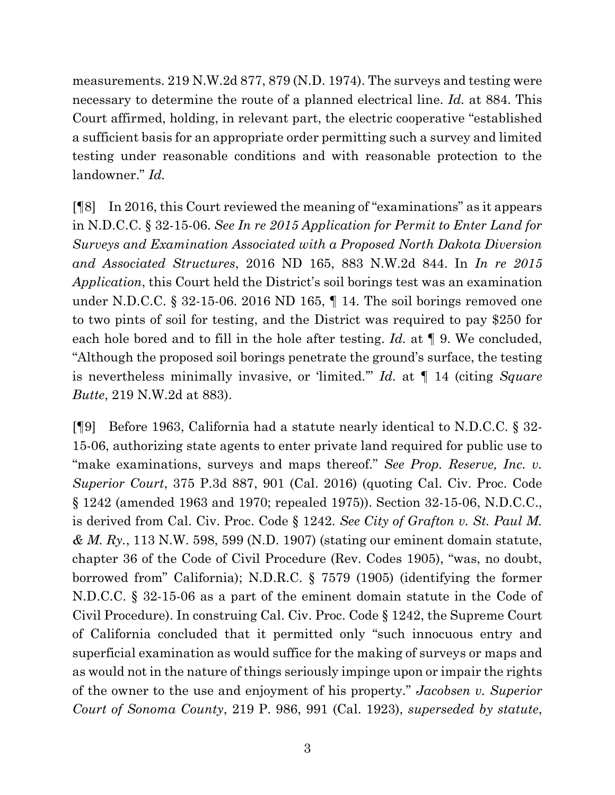measurements. 219 N.W.2d 877, 879 (N.D. 1974). The surveys and testing were necessary to determine the route of a planned electrical line. *Id.* at 884. This Court affirmed, holding, in relevant part, the electric cooperative "established a sufficient basis for an appropriate order permitting such a survey and limited testing under reasonable conditions and with reasonable protection to the landowner." *Id.*

[¶8] In 2016, this Court reviewed the meaning of "examinations" as it appears in N.D.C.C. § 32-15-06. *See In re 2015 Application for Permit to Enter Land for Surveys and Examination Associated with a Proposed North Dakota Diversion and Associated Structures*, 2016 ND 165, 883 N.W.2d 844. In *In re 2015 Application*, this Court held the District's soil borings test was an examination under N.D.C.C. § 32-15-06. 2016 ND 165, ¶ 14. The soil borings removed one to two pints of soil for testing, and the District was required to pay \$250 for each hole bored and to fill in the hole after testing. *Id.* at ¶ 9. We concluded, "Although the proposed soil borings penetrate the ground's surface, the testing is nevertheless minimally invasive, or 'limited.'" *Id.* at ¶ 14 (citing *Square Butte*, 219 N.W.2d at 883).

[¶9] Before 1963, California had a statute nearly identical to N.D.C.C. § 32- 15-06, authorizing state agents to enter private land required for public use to "make examinations, surveys and maps thereof." *See Prop. Reserve, Inc. v. Superior Court*, 375 P.3d 887, 901 (Cal. 2016) (quoting Cal. Civ. Proc. Code § 1242 (amended 1963 and 1970; repealed 1975)). Section 32-15-06, N.D.C.C., is derived from Cal. Civ. Proc. Code § 1242. *See City of Grafton v. St. Paul M. & M. Ry.*, 113 N.W. 598, 599 (N.D. 1907) (stating our eminent domain statute, chapter 36 of the Code of Civil Procedure (Rev. Codes 1905), "was, no doubt, borrowed from" California); N.D.R.C. § 7579 (1905) (identifying the former N.D.C.C. § 32-15-06 as a part of the eminent domain statute in the Code of Civil Procedure). In construing Cal. Civ. Proc. Code § 1242, the Supreme Court of California concluded that it permitted only "such innocuous entry and superficial examination as would suffice for the making of surveys or maps and as would not in the nature of things seriously impinge upon or impair the rights of the owner to the use and enjoyment of his property." *Jacobsen v. Superior Court of Sonoma County*, 219 P. 986, 991 (Cal. 1923), *superseded by statute*,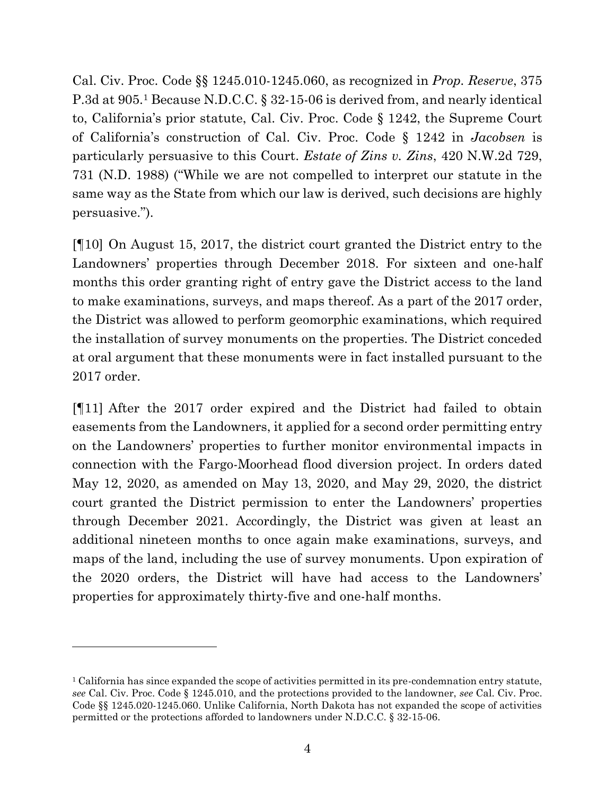Cal. Civ. Proc. Code §§ 1245.010-1245.060, as recognized in *Prop. Reserve*, 375 P.3d at 905. <sup>1</sup> Because N.D.C.C. § 32-15-06 is derived from, and nearly identical to, California's prior statute, Cal. Civ. Proc. Code § 1242, the Supreme Court of California's construction of Cal. Civ. Proc. Code § 1242 in *Jacobsen* is particularly persuasive to this Court. *Estate of Zins v. Zins*, 420 N.W.2d 729, 731 (N.D. 1988) ("While we are not compelled to interpret our statute in the same way as the State from which our law is derived, such decisions are highly persuasive.").

[¶10] On August 15, 2017, the district court granted the District entry to the Landowners' properties through December 2018. For sixteen and one-half months this order granting right of entry gave the District access to the land to make examinations, surveys, and maps thereof. As a part of the 2017 order, the District was allowed to perform geomorphic examinations, which required the installation of survey monuments on the properties. The District conceded at oral argument that these monuments were in fact installed pursuant to the 2017 order.

[¶11] After the 2017 order expired and the District had failed to obtain easements from the Landowners, it applied for a second order permitting entry on the Landowners' properties to further monitor environmental impacts in connection with the Fargo-Moorhead flood diversion project. In orders dated May 12, 2020, as amended on May 13, 2020, and May 29, 2020, the district court granted the District permission to enter the Landowners' properties through December 2021. Accordingly, the District was given at least an additional nineteen months to once again make examinations, surveys, and maps of the land, including the use of survey monuments. Upon expiration of the 2020 orders, the District will have had access to the Landowners' properties for approximately thirty-five and one-half months.

<sup>1</sup> California has since expanded the scope of activities permitted in its pre-condemnation entry statute, *see* Cal. Civ. Proc. Code § 1245.010, and the protections provided to the landowner, *see* Cal. Civ. Proc. Code §§ 1245.020-1245.060. Unlike California, North Dakota has not expanded the scope of activities permitted or the protections afforded to landowners under N.D.C.C. § 32-15-06.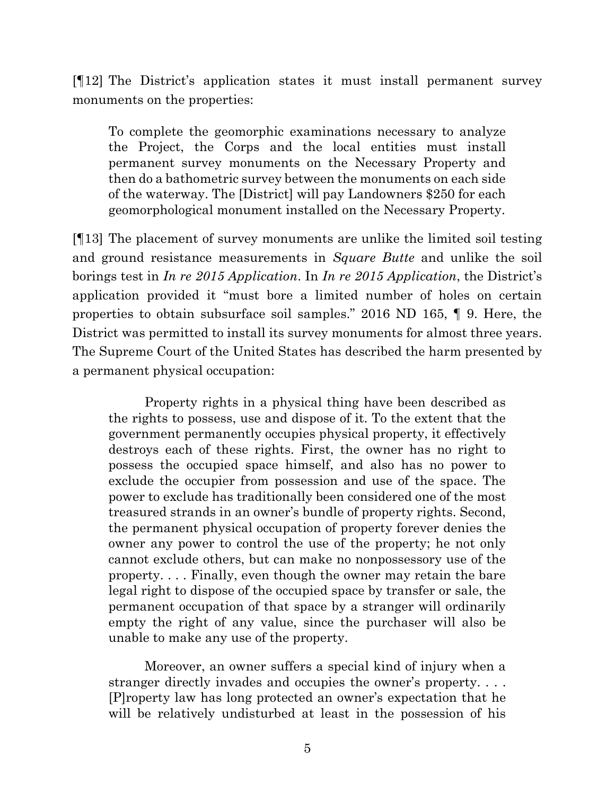[¶12] The District's application states it must install permanent survey monuments on the properties:

To complete the geomorphic examinations necessary to analyze the Project, the Corps and the local entities must install permanent survey monuments on the Necessary Property and then do a bathometric survey between the monuments on each side of the waterway. The [District] will pay Landowners \$250 for each geomorphological monument installed on the Necessary Property.

[¶13] The placement of survey monuments are unlike the limited soil testing and ground resistance measurements in *Square Butte* and unlike the soil borings test in *In re 2015 Application*. In *In re 2015 Application*, the District's application provided it "must bore a limited number of holes on certain properties to obtain subsurface soil samples." 2016 ND 165, ¶ 9. Here, the District was permitted to install its survey monuments for almost three years. The Supreme Court of the United States has described the harm presented by a permanent physical occupation:

Property rights in a physical thing have been described as the rights to possess, use and dispose of it. To the extent that the government permanently occupies physical property, it effectively destroys each of these rights. First, the owner has no right to possess the occupied space himself, and also has no power to exclude the occupier from possession and use of the space. The power to exclude has traditionally been considered one of the most treasured strands in an owner's bundle of property rights. Second, the permanent physical occupation of property forever denies the owner any power to control the use of the property; he not only cannot exclude others, but can make no nonpossessory use of the property. . . . Finally, even though the owner may retain the bare legal right to dispose of the occupied space by transfer or sale, the permanent occupation of that space by a stranger will ordinarily empty the right of any value, since the purchaser will also be unable to make any use of the property.

Moreover, an owner suffers a special kind of injury when a stranger directly invades and occupies the owner's property. . . . [P]roperty law has long protected an owner's expectation that he will be relatively undisturbed at least in the possession of his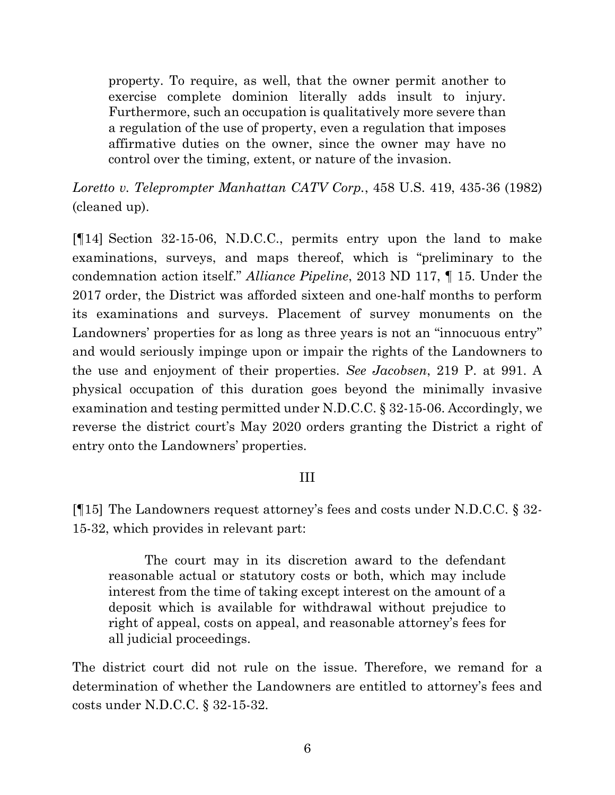property. To require, as well, that the owner permit another to exercise complete dominion literally adds insult to injury. Furthermore, such an occupation is qualitatively more severe than a regulation of the use of property, even a regulation that imposes affirmative duties on the owner, since the owner may have no control over the timing, extent, or nature of the invasion.

*Loretto v. Teleprompter Manhattan CATV Corp.*, 458 U.S. 419, 435-36 (1982) (cleaned up).

[¶14] Section 32-15-06, N.D.C.C., permits entry upon the land to make examinations, surveys, and maps thereof, which is "preliminary to the condemnation action itself." *Alliance Pipeline*, 2013 ND 117, ¶ 15. Under the 2017 order, the District was afforded sixteen and one-half months to perform its examinations and surveys. Placement of survey monuments on the Landowners' properties for as long as three years is not an "innocuous entry" and would seriously impinge upon or impair the rights of the Landowners to the use and enjoyment of their properties. *See Jacobsen*, 219 P. at 991. A physical occupation of this duration goes beyond the minimally invasive examination and testing permitted under N.D.C.C. § 32-15-06. Accordingly, we reverse the district court's May 2020 orders granting the District a right of entry onto the Landowners' properties.

#### III

[¶15] The Landowners request attorney's fees and costs under N.D.C.C. § 32- 15-32, which provides in relevant part:

The court may in its discretion award to the defendant reasonable actual or statutory costs or both, which may include interest from the time of taking except interest on the amount of a deposit which is available for withdrawal without prejudice to right of appeal, costs on appeal, and reasonable attorney's fees for all judicial proceedings.

The district court did not rule on the issue. Therefore, we remand for a determination of whether the Landowners are entitled to attorney's fees and costs under N.D.C.C. § 32-15-32.